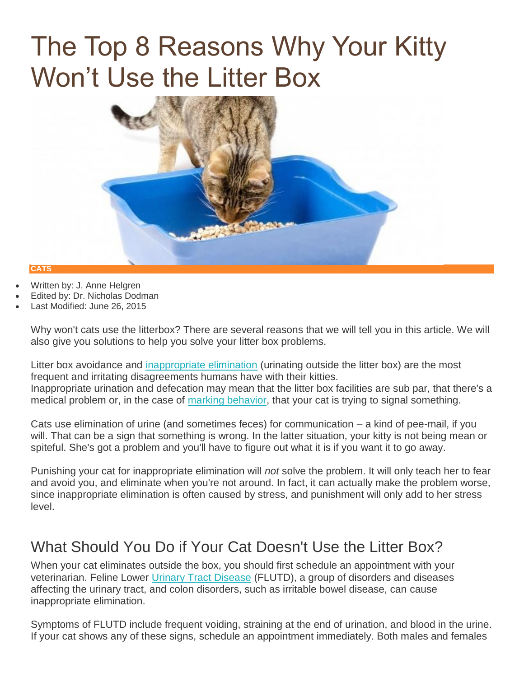# The Top 8 Reasons Why Your Kitty Won't Use the Litter Box



#### **CATS**

- Written by: J. Anne Helgren
- Edited by: Dr. Nicholas Dodman
- Last Modified: June 26, 2015

Why won't cats use the litterbox? There are several reasons that we will tell you in this article. We will also give you solutions to help you solve your litter box problems.

Litter box avoidance and [inappropriate elimination](http://www.petplace.com/article/cats/behavior-training/behavior-problems/inappropriate-elimination-in-cats) (urinating outside the litter box) are the most frequent and irritating disagreements humans have with their kitties. Inappropriate urination and defecation may mean that the litter box facilities are sub par, that there's a medical problem or, in the case of [marking behavior,](http://www.petplace.com/article/cats/behavior-training/normal-behavior/feline-urine-marking) that your cat is trying to signal something.

Cats use elimination of urine (and sometimes feces) for communication – a kind of pee-mail, if you will. That can be a sign that something is wrong. In the latter situation, your kitty is not being mean or spiteful. She's got a problem and you'll have to figure out what it is if you want it to go away.

Punishing your cat for inappropriate elimination will *not* solve the problem. It will only teach her to fear and avoid you, and eliminate when you're not around. In fact, it can actually make the problem worse, since inappropriate elimination is often caused by stress, and punishment will only add to her stress level.

## What Should You Do if Your Cat Doesn't Use the Litter Box?

When your cat eliminates outside the box, you should first schedule an appointment with your veterinarian. Feline Lower [Urinary Tract Disease](http://www.petplace.com/article/cats/diseases-conditions-of-cats/kidneys-bladder-urinary-system/acute-cystitis-in-cats) (FLUTD), a group of disorders and diseases affecting the urinary tract, and colon disorders, such as irritable bowel disease, can cause inappropriate elimination.

Symptoms of FLUTD include frequent voiding, straining at the end of urination, and blood in the urine. If your cat shows any of these signs, schedule an appointment immediately. Both males and females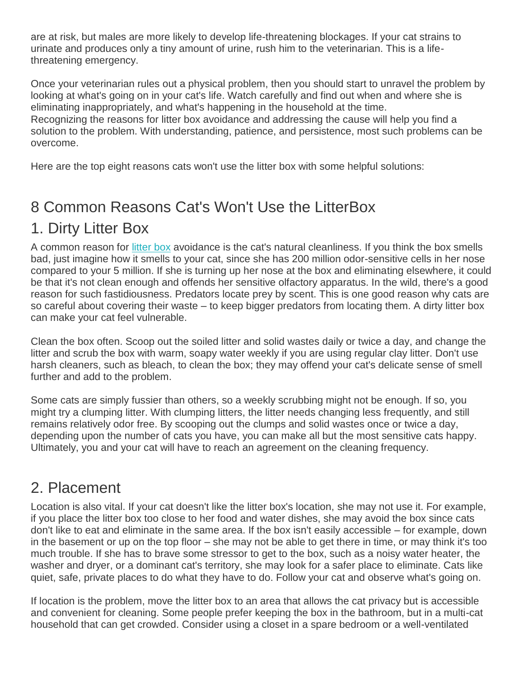are at risk, but males are more likely to develop life-threatening blockages. If your cat strains to urinate and produces only a tiny amount of urine, rush him to the veterinarian. This is a lifethreatening emergency.

Once your veterinarian rules out a physical problem, then you should start to unravel the problem by looking at what's going on in your cat's life. Watch carefully and find out when and where she is eliminating inappropriately, and what's happening in the household at the time. Recognizing the reasons for litter box avoidance and addressing the cause will help you find a solution to the problem. With understanding, patience, and persistence, most such problems can be overcome.

Here are the top eight reasons cats won't use the litter box with some helpful solutions:

# 8 Common Reasons Cat's Won't Use the LitterBox

## 1. Dirty Litter Box

A common reason for [litter box](http://www.petplace.com/cats/litter-boxes-what-you-should-know/Page1.aspx) avoidance is the cat's natural cleanliness. If you think the box smells bad, just imagine how it smells to your cat, since she has 200 million odor-sensitive cells in her nose compared to your 5 million. If she is turning up her nose at the box and eliminating elsewhere, it could be that it's not clean enough and offends her sensitive olfactory apparatus. In the wild, there's a good reason for such fastidiousness. Predators locate prey by scent. This is one good reason why cats are so careful about covering their waste – to keep bigger predators from locating them. A dirty litter box can make your cat feel vulnerable.

Clean the box often. Scoop out the soiled litter and solid wastes daily or twice a day, and change the litter and scrub the box with warm, soapy water weekly if you are using regular clay litter. Don't use harsh cleaners, such as bleach, to clean the box; they may offend your cat's delicate sense of smell further and add to the problem.

Some cats are simply fussier than others, so a weekly scrubbing might not be enough. If so, you might try a clumping litter. With clumping litters, the litter needs changing less frequently, and still remains relatively odor free. By scooping out the clumps and solid wastes once or twice a day, depending upon the number of cats you have, you can make all but the most sensitive cats happy. Ultimately, you and your cat will have to reach an agreement on the cleaning frequency.

#### 2. Placement

Location is also vital. If your cat doesn't like the litter box's location, she may not use it. For example, if you place the litter box too close to her food and water dishes, she may avoid the box since cats don't like to eat and eliminate in the same area. If the box isn't easily accessible – for example, down in the basement or up on the top floor – she may not be able to get there in time, or may think it's too much trouble. If she has to brave some stressor to get to the box, such as a noisy water heater, the washer and dryer, or a dominant cat's territory, she may look for a safer place to eliminate. Cats like quiet, safe, private places to do what they have to do. Follow your cat and observe what's going on.

If location is the problem, move the litter box to an area that allows the cat privacy but is accessible and convenient for cleaning. Some people prefer keeping the box in the bathroom, but in a multi-cat household that can get crowded. Consider using a closet in a spare bedroom or a well-ventilated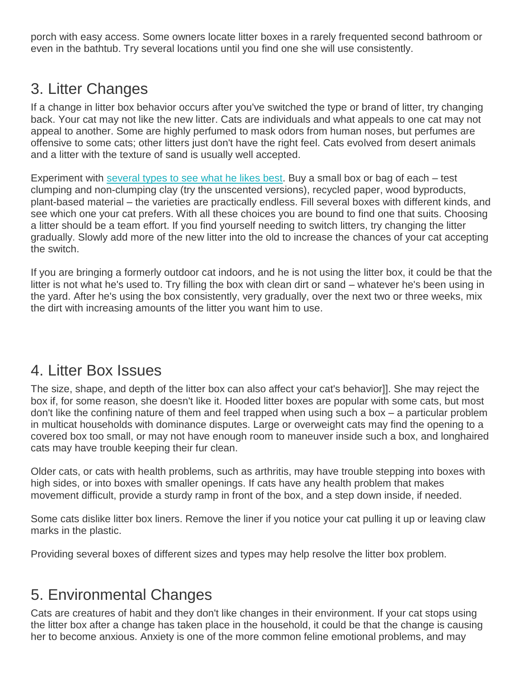porch with easy access. Some owners locate litter boxes in a rarely frequented second bathroom or even in the bathtub. Try several locations until you find one she will use consistently.

## 3. Litter Changes

If a change in litter box behavior occurs after you've switched the type or brand of litter, try changing back. Your cat may not like the new litter. Cats are individuals and what appeals to one cat may not appeal to another. Some are highly perfumed to mask odors from human noses, but perfumes are offensive to some cats; other litters just don't have the right feel. Cats evolved from desert animals and a litter with the texture of sand is usually well accepted.

Experiment with [several types to see what he likes best.](http://www.petplace.com/cats/what-are-the-different-types-of-cat-litter/Page1.aspx) Buy a small box or bag of each – test clumping and non-clumping clay (try the unscented versions), recycled paper, wood byproducts, plant-based material – the varieties are practically endless. Fill several boxes with different kinds, and see which one your cat prefers. With all these choices you are bound to find one that suits. Choosing a litter should be a team effort. If you find yourself needing to switch litters, try changing the litter gradually. Slowly add more of the new litter into the old to increase the chances of your cat accepting the switch.

If you are bringing a formerly outdoor cat indoors, and he is not using the litter box, it could be that the litter is not what he's used to. Try filling the box with clean dirt or sand – whatever he's been using in the yard. After he's using the box consistently, very gradually, over the next two or three weeks, mix the dirt with increasing amounts of the litter you want him to use.

#### 4. Litter Box Issues

The size, shape, and depth of the litter box can also affect your cat's behavior]]. She may reject the box if, for some reason, she doesn't like it. Hooded litter boxes are popular with some cats, but most don't like the confining nature of them and feel trapped when using such a box – a particular problem in multicat households with dominance disputes. Large or overweight cats may find the opening to a covered box too small, or may not have enough room to maneuver inside such a box, and longhaired cats may have trouble keeping their fur clean.

Older cats, or cats with health problems, such as arthritis, may have trouble stepping into boxes with high sides, or into boxes with smaller openings. If cats have any health problem that makes movement difficult, provide a sturdy ramp in front of the box, and a step down inside, if needed.

Some cats dislike litter box liners. Remove the liner if you notice your cat pulling it up or leaving claw marks in the plastic.

Providing several boxes of different sizes and types may help resolve the litter box problem.

#### 5. Environmental Changes

Cats are creatures of habit and they don't like changes in their environment. If your cat stops using the litter box after a change has taken place in the household, it could be that the change is causing her to become anxious. Anxiety is one of the more common feline emotional problems, and may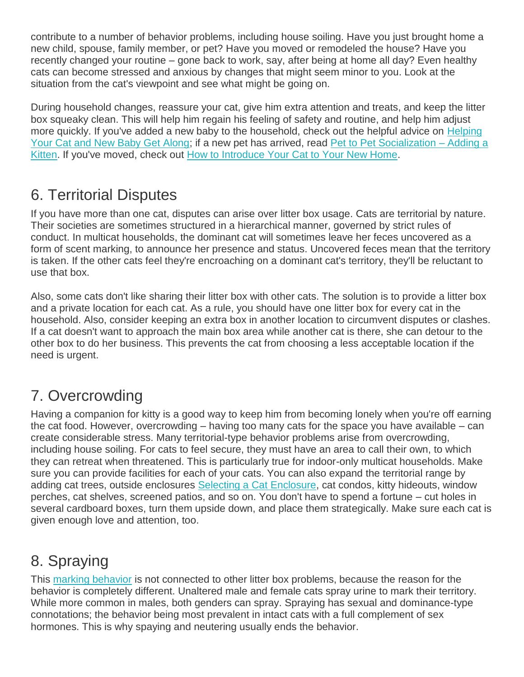contribute to a number of behavior problems, including house soiling. Have you just brought home a new child, spouse, family member, or pet? Have you moved or remodeled the house? Have you recently changed your routine – gone back to work, say, after being at home all day? Even healthy cats can become stressed and anxious by changes that might seem minor to you. Look at the situation from the cat's viewpoint and see what might be going on.

During household changes, reassure your cat, give him extra attention and treats, and keep the litter box squeaky clean. This will help him regain his feeling of safety and routine, and help him adjust more quickly. If you've added a new baby to the household, check out the helpful advice on [Helping](http://www.petplace.com/article/cats/behavior-training/understanding-your-cat/helping-your-cat-and-new-baby-get-along)  [Your Cat and New Baby Get Along;](http://www.petplace.com/article/cats/behavior-training/understanding-your-cat/helping-your-cat-and-new-baby-get-along) if a new pet has arrived, read [Pet to Pet Socialization –](http://www.petplace.com/article/cats/behavior-training/normal-behavior/pet-to-pet-socialization-%E2%80%93-adding-a-kitten) Adding a [Kitten.](http://www.petplace.com/article/cats/behavior-training/normal-behavior/pet-to-pet-socialization-%E2%80%93-adding-a-kitten) If you've moved, check out [How to Introduce Your Cat to Your New Home.](http://www.petplace.com/article/cats/behavior-training/normal-behavior/how-to-introduce-your-cat-to-your-new-home)

# 6. Territorial Disputes

If you have more than one cat, disputes can arise over litter box usage. Cats are territorial by nature. Their societies are sometimes structured in a hierarchical manner, governed by strict rules of conduct. In multicat households, the dominant cat will sometimes leave her feces uncovered as a form of scent marking, to announce her presence and status. Uncovered feces mean that the territory is taken. If the other cats feel they're encroaching on a dominant cat's territory, they'll be reluctant to use that box.

Also, some cats don't like sharing their litter box with other cats. The solution is to provide a litter box and a private location for each cat. As a rule, you should have one litter box for every cat in the household. Also, consider keeping an extra box in another location to circumvent disputes or clashes. If a cat doesn't want to approach the main box area while another cat is there, she can detour to the other box to do her business. This prevents the cat from choosing a less acceptable location if the need is urgent.

# 7. Overcrowding

Having a companion for kitty is a good way to keep him from becoming lonely when you're off earning the cat food. However, overcrowding – having too many cats for the space you have available – can create considerable stress. Many territorial-type behavior problems arise from overcrowding, including house soiling. For cats to feel secure, they must have an area to call their own, to which they can retreat when threatened. This is particularly true for indoor-only multicat households. Make sure you can provide facilities for each of your cats. You can also expand the territorial range by adding cat trees, outside enclosures [Selecting a Cat Enclosure,](http://www.petplace.com/article/cats/keeping-your-cat-healthy/shopping-for-cats/selecting--a-cat-enclosure) cat condos, kitty hideouts, window perches, cat shelves, screened patios, and so on. You don't have to spend a fortune – cut holes in several cardboard boxes, turn them upside down, and place them strategically. Make sure each cat is given enough love and attention, too.

## 8. Spraying

This [marking behavior](http://www.petplace.com/article/cats/behavior-training/understanding-your-cat/why-do-cats-spray) is not connected to other litter box problems, because the reason for the behavior is completely different. Unaltered male and female cats spray urine to mark their territory. While more common in males, both genders can spray. Spraying has sexual and dominance-type connotations; the behavior being most prevalent in intact cats with a full complement of sex hormones. This is why spaying and neutering usually ends the behavior.